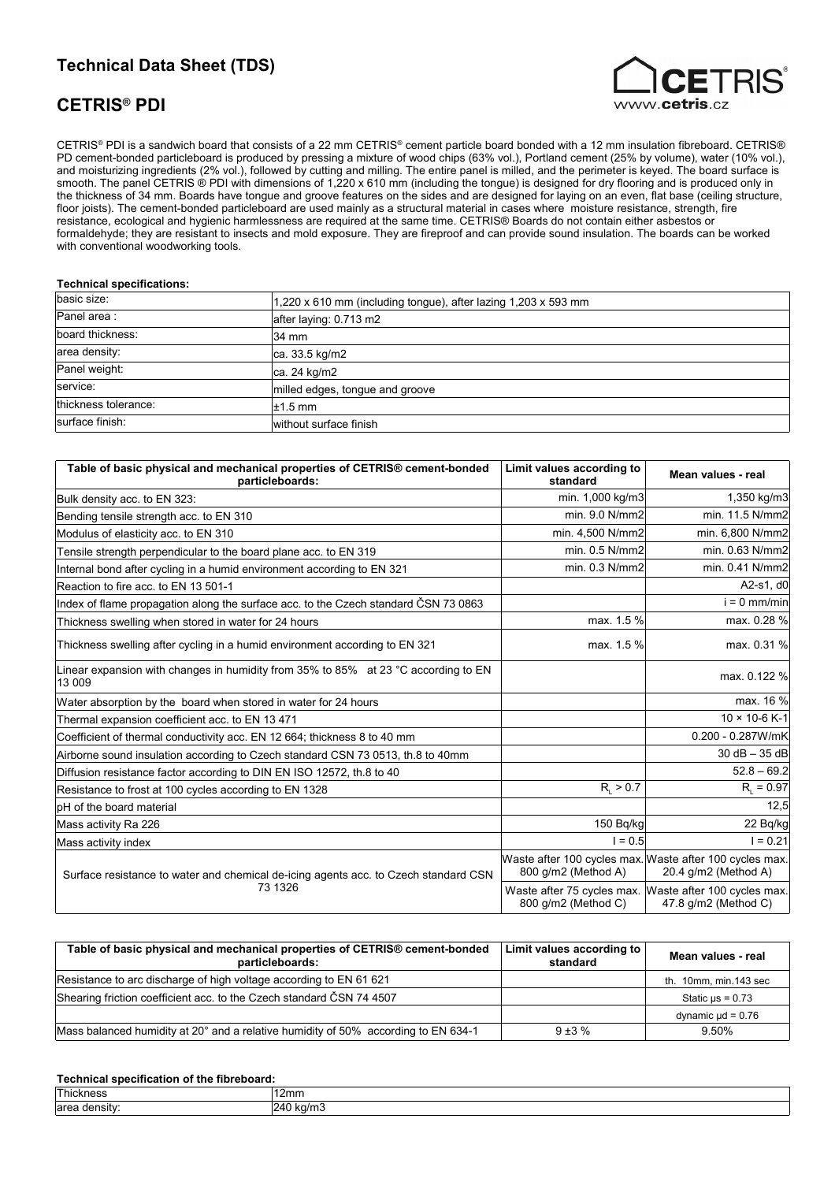## **Technical Data Sheet (TDS)**

## **CETRIS® PDI**



CETRIS® PDI is a sandwich board that consists of a 22 mm CETRIS® cement particle board bonded with a 12 mm insulation fibreboard. CETRIS® PD cement-bonded particleboard is produced by pressing a mixture of wood chips (63% vol.), Portland cement (25% by volume), water (10% vol.), and moisturizing ingredients (2% vol.), followed by cutting and milling. The entire panel is milled, and the perimeter is keyed. The board surface is smooth. The panel CETRIS ® PDI with dimensions of 1,220 x 610 mm (including the tongue) is designed for dry flooring and is produced only in the thickness of 34 mm. Boards have tongue and groove features on the sides and are designed for laying on an even, flat base (ceiling structure, floor joists). The cement-bonded particleboard are used mainly as a structural material in cases where moisture resistance, strength, fire resistance, ecological and hygienic harmlessness are required at the same time. CETRIS® Boards do not contain either asbestos or formaldehyde; they are resistant to insects and mold exposure. They are fireproof and can provide sound insulation. The boards can be worked with conventional woodworking tools.

## **Technical specifications:**

| basic size:          | 1,220 x 610 mm (including tongue), after lazing $1,203$ x 593 mm |
|----------------------|------------------------------------------------------------------|
| Panel area:          | after laying: 0.713 m2                                           |
| board thickness:     | 34 mm                                                            |
| area density:        | ca. 33.5 kg/m2                                                   |
| Panel weight:        | ca. 24 kg/m2                                                     |
| service:             | milled edges, tongue and groove                                  |
| thickness tolerance: | $\pm 1.5$ mm                                                     |
| surface finish:      | without surface finish                                           |

| Table of basic physical and mechanical properties of CETRIS® cement-bonded<br>particleboards:         | Limit values according to<br>standard                                          | Mean values - real                                                             |
|-------------------------------------------------------------------------------------------------------|--------------------------------------------------------------------------------|--------------------------------------------------------------------------------|
| Bulk density acc. to EN 323:                                                                          | min. 1,000 kg/m3                                                               | 1,350 kg/m3                                                                    |
| Bending tensile strength acc. to EN 310                                                               | min. 9.0 N/mm2                                                                 | min. 11.5 N/mm2                                                                |
| Modulus of elasticity acc. to EN 310                                                                  | min. 4,500 N/mm2                                                               | min. 6,800 N/mm2                                                               |
| Tensile strength perpendicular to the board plane acc. to EN 319                                      | min. 0.5 N/mm2                                                                 | min. 0.63 N/mm2                                                                |
| Internal bond after cycling in a humid environment according to EN 321                                | min. 0.3 N/mm2                                                                 | min. 0.41 N/mm2                                                                |
| Reaction to fire acc. to EN 13 501-1                                                                  |                                                                                | A2-s1, d0                                                                      |
| Index of flame propagation along the surface acc. to the Czech standard ČSN 73 0863                   |                                                                                | $i = 0$ mm/min                                                                 |
| Thickness swelling when stored in water for 24 hours                                                  | max. 1.5 %                                                                     | max. 0.28 %                                                                    |
| Thickness swelling after cycling in a humid environment according to EN 321                           | max. 1.5 %                                                                     | max. 0.31 %                                                                    |
| Linear expansion with changes in humidity from 35% to 85% at 23 $\degree$ C according to EN<br>13 009 |                                                                                | max. 0.122 %                                                                   |
| Water absorption by the board when stored in water for 24 hours                                       |                                                                                | max. 16 %                                                                      |
| Thermal expansion coefficient acc. to EN 13 471                                                       |                                                                                | $10 \times 10 - 6$ K-1                                                         |
| Coefficient of thermal conductivity acc. EN 12 664; thickness 8 to 40 mm                              |                                                                                | 0.200 - 0.287W/mK                                                              |
| Airborne sound insulation according to Czech standard CSN 73 0513, th.8 to 40mm                       |                                                                                | $30 dB - 35 dB$                                                                |
| Diffusion resistance factor according to DIN EN ISO 12572, th.8 to 40                                 |                                                                                | $52.8 - 69.2$                                                                  |
| Resistance to frost at 100 cycles according to EN 1328                                                | $R_{1} > 0.7$                                                                  | $R_{1} = 0.97$                                                                 |
| pH of the board material                                                                              |                                                                                | 12,5                                                                           |
| Mass activity Ra 226                                                                                  | 150 Bq/kg                                                                      | 22 Bq/kg                                                                       |
| Mass activity index                                                                                   | $= 0.5$                                                                        | $1 = 0.21$                                                                     |
| Surface resistance to water and chemical de-icing agents acc. to Czech standard CSN                   | Waste after 100 cycles max. Waste after 100 cycles max.<br>800 g/m2 (Method A) | 20.4 g/m2 (Method A)                                                           |
| 73 1326                                                                                               | 800 q/m2 (Method C)                                                            | Waste after 75 cycles max. Waste after 100 cycles max.<br>47.8 g/m2 (Method C) |

| Table of basic physical and mechanical properties of CETRIS® cement-bonded<br>particleboards: | Limit values according to<br>standard | Mean values - real     |
|-----------------------------------------------------------------------------------------------|---------------------------------------|------------------------|
| Resistance to arc discharge of high voltage according to EN 61 621                            |                                       | th. 10mm, min.143 sec  |
| Shearing friction coefficient acc. to the Czech standard ČSN 74 4507                          |                                       | Static $\mu s = 0.73$  |
|                                                                                               |                                       | dynamic $\mu$ d = 0.76 |
| Mass balanced humidity at 20° and a relative humidity of 50% according to EN 634-1            | $9 + 3 \%$                            | 9.50%                  |

## **Technical specification of the fibreboard:**

| T<br>ш | 12mm |
|--------|------|
| oro    | υл.  |